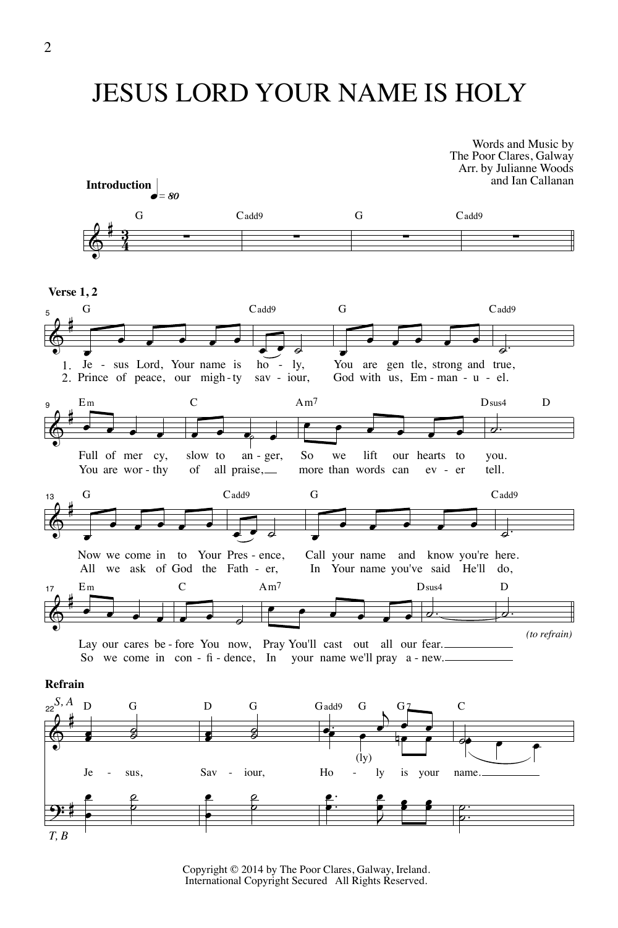## JESUS LORD YOUR NAME IS HOLY



Copyright © 2014 by The Poor Clares, Galway, Ireland. International Copyright Secured All Rights Reserved.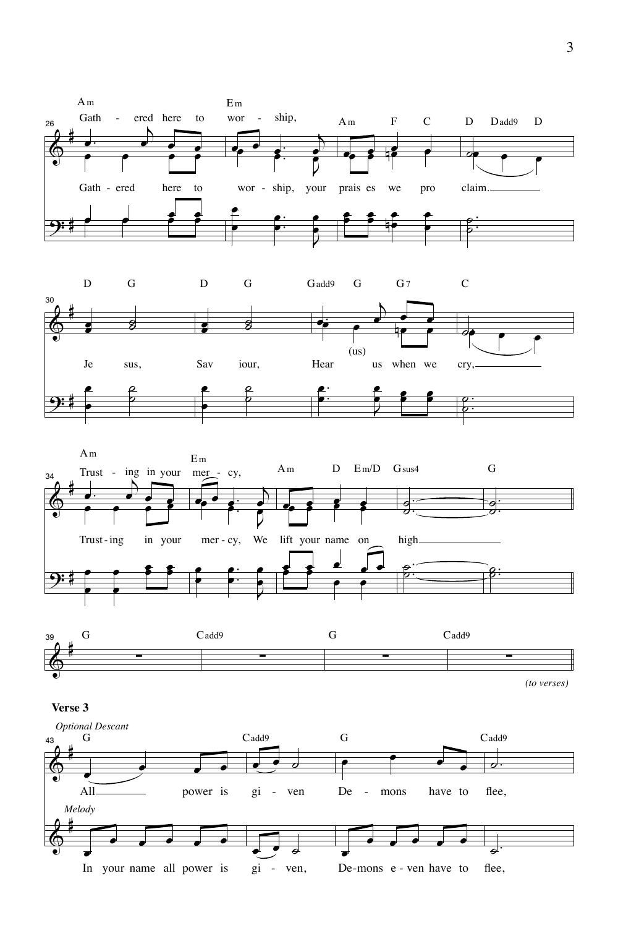







*(to verses)*

## **Verse 3**

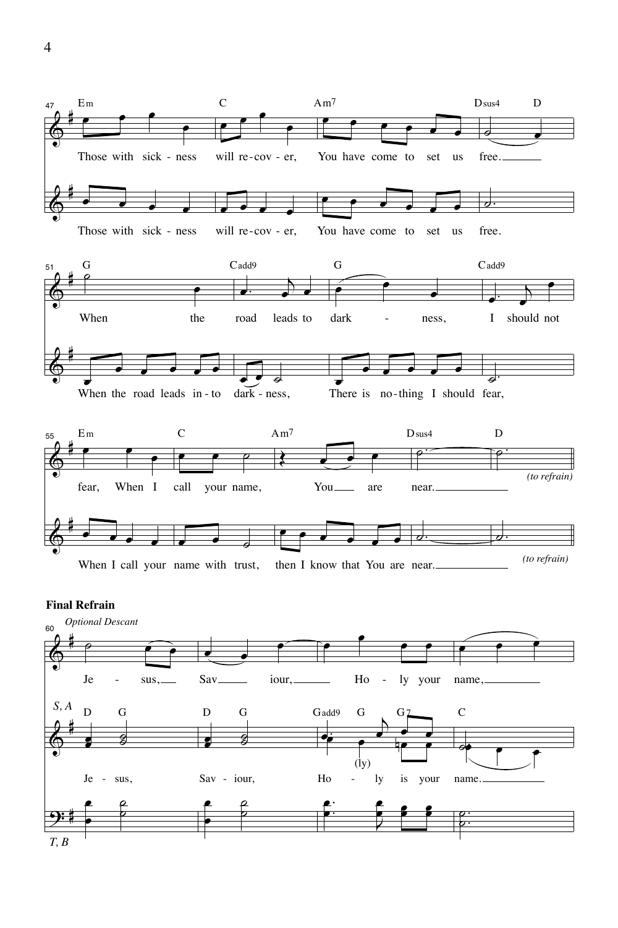